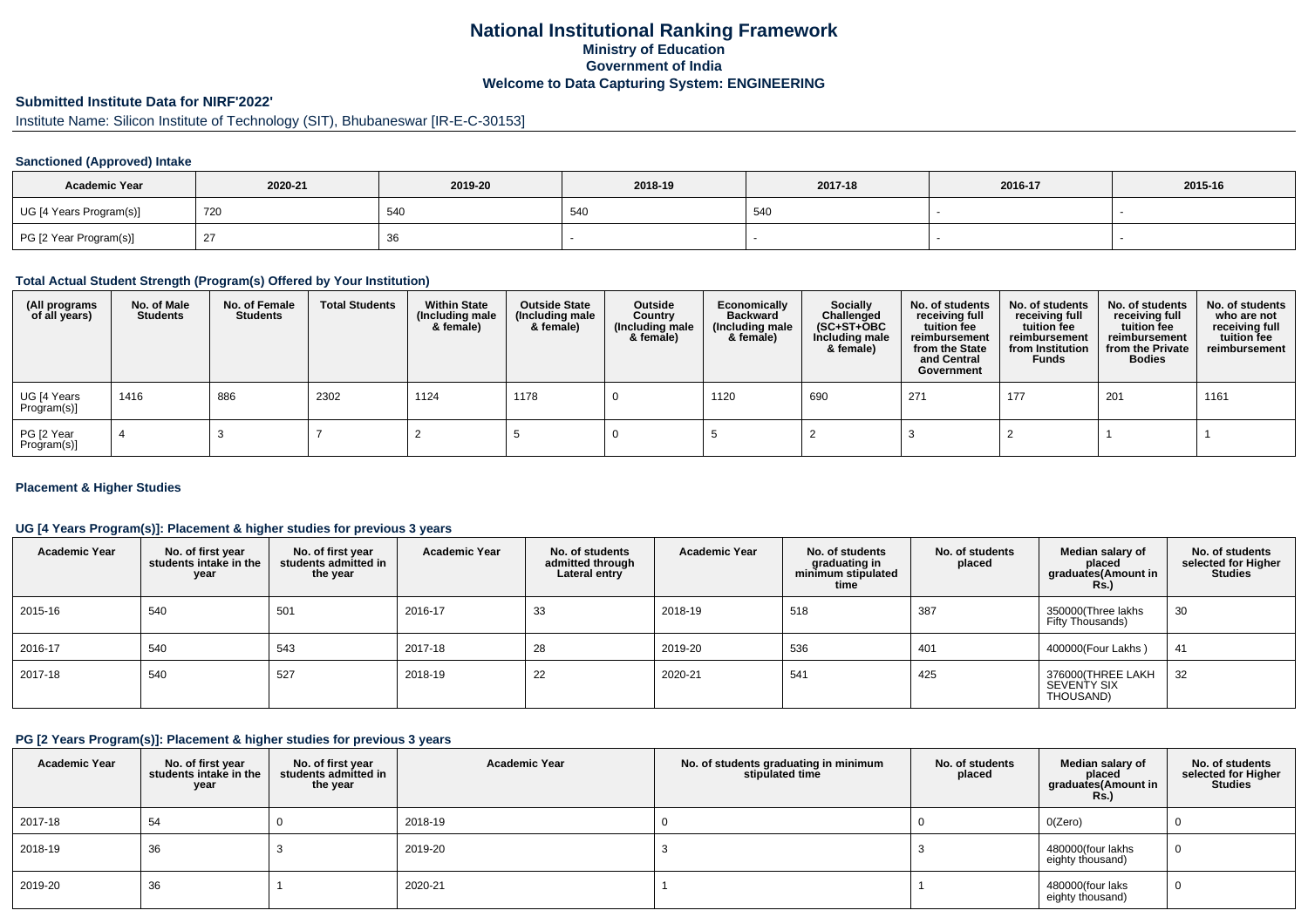## **National Institutional Ranking FrameworkMinistry of Education Government of IndiaWelcome to Data Capturing System: ENGINEERING**

## **Submitted Institute Data for NIRF'2022'**

# Institute Name: Silicon Institute of Technology (SIT), Bhubaneswar [IR-E-C-30153]

#### **Sanctioned (Approved) Intake**

| <b>Academic Year</b>    | 2020-21 | 2019-20 | 2018-19 | 2017-18 | 2016-17 | 2015-16 |
|-------------------------|---------|---------|---------|---------|---------|---------|
| UG [4 Years Program(s)] | 720     | 540     | 540     | 540     |         |         |
| PG [2 Year Program(s)]  |         | 36      |         |         |         |         |

#### **Total Actual Student Strength (Program(s) Offered by Your Institution)**

| (All programs<br>of all years) | No. of Male<br><b>Students</b> | No. of Female<br>Students | <b>Total Students</b> | <b>Within State</b><br>(Including male<br>& female) | <b>Outside State</b><br>(Including male<br>& female) | Outside<br>Country<br>(Including male<br>& female) | Economically<br>Backward<br>(Including male<br>& female) | <b>Socially</b><br>Challenged<br>$(SC+ST+OBC)$<br>Including male<br>& female) | No. of students<br>receiving full<br>tuition fee<br>reimbursement<br>from the State<br>and Central<br>Government | No. of students<br>receiving full<br>tuition fee<br>reimbursement<br>from Institution<br><b>Funds</b> | No. of students<br>receiving full<br>tuition fee<br>reimbursement<br>from the Private<br><b>Bodies</b> | No. of students<br>who are not<br>receiving full<br>tuition fee<br>reimbursement |
|--------------------------------|--------------------------------|---------------------------|-----------------------|-----------------------------------------------------|------------------------------------------------------|----------------------------------------------------|----------------------------------------------------------|-------------------------------------------------------------------------------|------------------------------------------------------------------------------------------------------------------|-------------------------------------------------------------------------------------------------------|--------------------------------------------------------------------------------------------------------|----------------------------------------------------------------------------------|
| UG [4 Years<br>Program(s)]     | 1416                           | 886                       | 2302                  | 1124                                                | 1178                                                 |                                                    | 1120                                                     | 690                                                                           | 271                                                                                                              | 177                                                                                                   | 201                                                                                                    | 1161                                                                             |
| PG [2 Year<br>Program(s)]      |                                |                           |                       |                                                     |                                                      |                                                    |                                                          |                                                                               |                                                                                                                  |                                                                                                       |                                                                                                        |                                                                                  |

#### **Placement & Higher Studies**

#### **UG [4 Years Program(s)]: Placement & higher studies for previous 3 years**

| <b>Academic Year</b> | No. of first year<br>students intake in the<br>year | No. of first vear<br>students admitted in<br>the year | <b>Academic Year</b> | No. of students<br>admitted through<br>Lateral entry | <b>Academic Year</b> | No. of students<br>graduating in<br>minimum stipulated<br>time | No. of students<br>placed | Median salary of<br>placed<br>graduates(Amount in<br><b>Rs.</b> ) | No. of students<br>selected for Higher<br><b>Studies</b> |
|----------------------|-----------------------------------------------------|-------------------------------------------------------|----------------------|------------------------------------------------------|----------------------|----------------------------------------------------------------|---------------------------|-------------------------------------------------------------------|----------------------------------------------------------|
| 2015-16              | 540                                                 | 501                                                   | 2016-17              | 33                                                   | 2018-19              | 518                                                            | 387                       | 350000(Three lakhs<br>Fifty Thousands)                            | 30                                                       |
| 2016-17              | 540                                                 | 543                                                   | 2017-18              | 28                                                   | 2019-20              | 536                                                            | 401                       | 400000(Four Lakhs)                                                | 41                                                       |
| 2017-18              | 540                                                 | 527                                                   | 2018-19              | 22                                                   | 2020-21              | 541                                                            | 425                       | 376000 (THREE LAKH<br>SEVENTY SIX<br>THOUSAND)                    | 32                                                       |

#### **PG [2 Years Program(s)]: Placement & higher studies for previous 3 years**

| <b>Academic Year</b> | No. of first year<br>students intake in the<br>year | No. of first year<br>students admitted in<br>the year | <b>Academic Year</b> | No. of students graduating in minimum<br>stipulated time | No. of students<br>placed | Median salary of<br>placed<br>graduates(Amount in<br><b>Rs.)</b> | No. of students<br>selected for Higher<br><b>Studies</b> |
|----------------------|-----------------------------------------------------|-------------------------------------------------------|----------------------|----------------------------------------------------------|---------------------------|------------------------------------------------------------------|----------------------------------------------------------|
| 2017-18              | 54                                                  |                                                       | 2018-19              |                                                          |                           | O(Zero)                                                          |                                                          |
| 2018-19              | 36                                                  |                                                       | 2019-20              |                                                          |                           | 480000(four lakhs<br>eighty thousand)                            | 0                                                        |
| 2019-20              | 36                                                  |                                                       | 2020-21              |                                                          |                           | 480000(four laks<br>eighty thousand)                             | 0                                                        |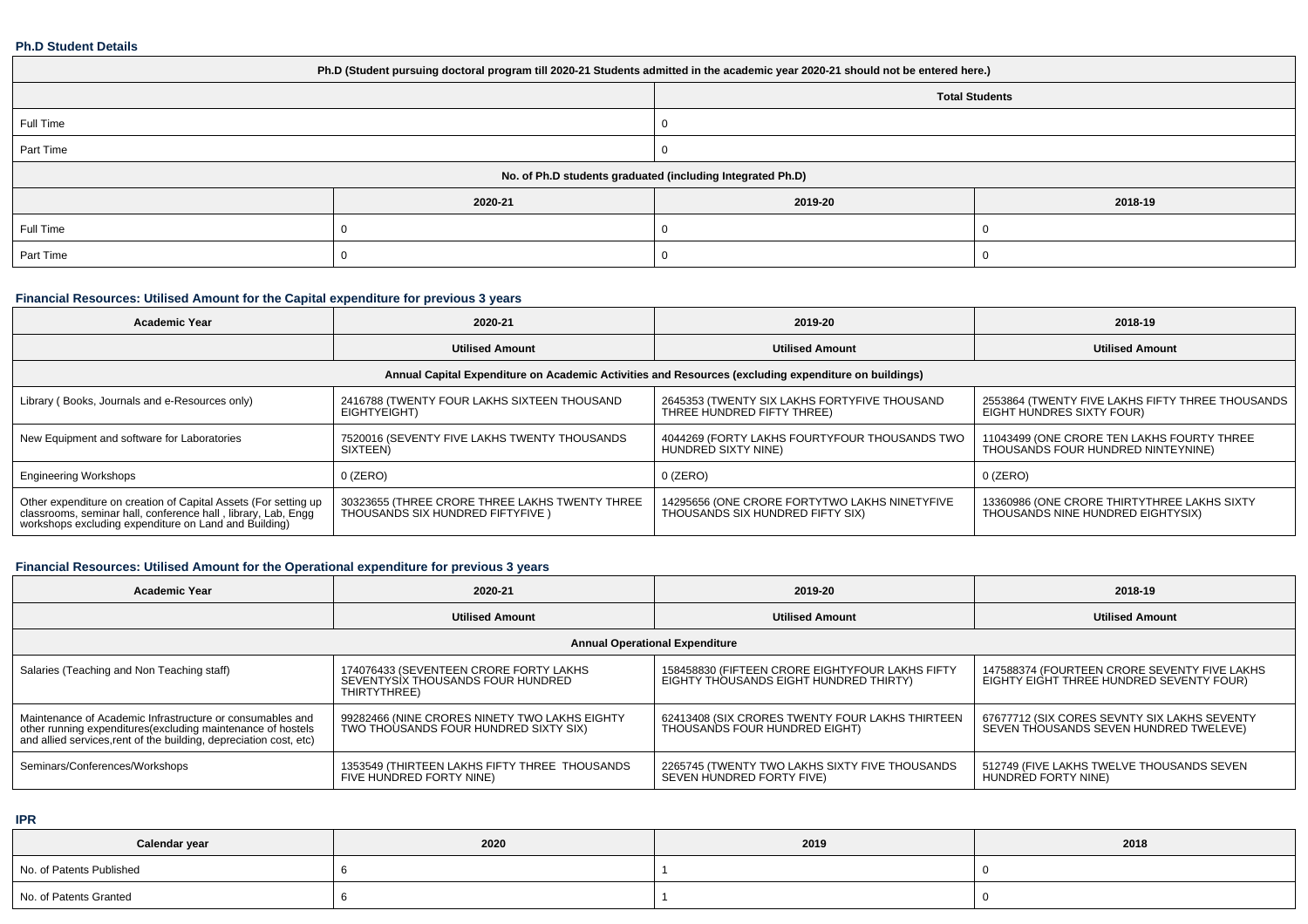#### **Ph.D Student Details**

| Ph.D (Student pursuing doctoral program till 2020-21 Students admitted in the academic year 2020-21 should not be entered here.) |         |         |         |  |  |  |  |
|----------------------------------------------------------------------------------------------------------------------------------|---------|---------|---------|--|--|--|--|
| <b>Total Students</b>                                                                                                            |         |         |         |  |  |  |  |
| Full Time                                                                                                                        |         |         |         |  |  |  |  |
| Part Time                                                                                                                        |         |         |         |  |  |  |  |
| No. of Ph.D students graduated (including Integrated Ph.D)                                                                       |         |         |         |  |  |  |  |
|                                                                                                                                  | 2020-21 | 2019-20 | 2018-19 |  |  |  |  |
| Full Time                                                                                                                        |         |         |         |  |  |  |  |
| Part Time                                                                                                                        |         |         |         |  |  |  |  |

# **Financial Resources: Utilised Amount for the Capital expenditure for previous 3 years**

| <b>Academic Year</b>                                                                                                                                                                   | 2020-21                                                                             | 2019-20                                                                           | 2018-19                                                                          |  |  |  |  |  |
|----------------------------------------------------------------------------------------------------------------------------------------------------------------------------------------|-------------------------------------------------------------------------------------|-----------------------------------------------------------------------------------|----------------------------------------------------------------------------------|--|--|--|--|--|
|                                                                                                                                                                                        | <b>Utilised Amount</b>                                                              | <b>Utilised Amount</b>                                                            | <b>Utilised Amount</b>                                                           |  |  |  |  |  |
| Annual Capital Expenditure on Academic Activities and Resources (excluding expenditure on buildings)                                                                                   |                                                                                     |                                                                                   |                                                                                  |  |  |  |  |  |
| Library (Books, Journals and e-Resources only)                                                                                                                                         | 2416788 (TWENTY FOUR LAKHS SIXTEEN THOUSAND<br>EIGHTYEIGHT)                         | 2645353 (TWENTY SIX LAKHS FORTYFIVE THOUSAND<br>THREE HUNDRED FIFTY THREE)        | 2553864 (TWENTY FIVE LAKHS FIFTY THREE THOUSANDS<br>EIGHT HÙNDRES SIXTY FOUR)    |  |  |  |  |  |
| New Equipment and software for Laboratories                                                                                                                                            | 7520016 (SEVENTY FIVE LAKHS TWENTY THOUSANDS<br><b>SIXTEEN</b>                      | 4044269 (FORTY LAKHS FOURTYFOUR THOUSANDS TWO<br>HUNDRED SIXTY NINE)              | 11043499 (ONE CRORE TEN LAKHS FOURTY THREE<br>THOUSANDS FOUR HUNDRED NINTEYNINE) |  |  |  |  |  |
| <b>Engineering Workshops</b>                                                                                                                                                           | 0 (ZERO)                                                                            | $0$ (ZERO)                                                                        | 0 (ZERO)                                                                         |  |  |  |  |  |
| Other expenditure on creation of Capital Assets (For setting up classrooms, seminar hall, conference hall, library, Lab, Engg<br>workshops excluding expenditure on Land and Building) | 30323655 (THREE CRORE THREE LAKHS TWENTY THREE<br>THOUSANDS SIX HUNDRED FIFTYFIVE ) | 14295656 (ONE CRORE FORTYTWO LAKHS NINETYFIVE<br>THOUSANDS SIX HUNDRED FIFTY SIX) | 13360986 (ONE CRORE THIRTYTHREE LAKHS SIXTY<br>THOUSANDS NINE HUNDRED EIGHTYSIX) |  |  |  |  |  |

# **Financial Resources: Utilised Amount for the Operational expenditure for previous 3 years**

| <b>Academic Year</b>                                                                                                                                                                            | 2020-21                                                                                     | 2019-20                                                                                   | 2018-19                                                                                  |  |  |  |  |  |  |
|-------------------------------------------------------------------------------------------------------------------------------------------------------------------------------------------------|---------------------------------------------------------------------------------------------|-------------------------------------------------------------------------------------------|------------------------------------------------------------------------------------------|--|--|--|--|--|--|
|                                                                                                                                                                                                 | <b>Utilised Amount</b>                                                                      | <b>Utilised Amount</b>                                                                    | <b>Utilised Amount</b>                                                                   |  |  |  |  |  |  |
| <b>Annual Operational Expenditure</b>                                                                                                                                                           |                                                                                             |                                                                                           |                                                                                          |  |  |  |  |  |  |
| Salaries (Teaching and Non Teaching staff)                                                                                                                                                      | 174076433 (SEVENTEEN CRORE FORTY LAKHS<br>SEVENTYSIX THOUSANDS FOUR HUNDRED<br>THIRTYTHREE) | 158458830 (FIFTEEN CRORE EIGHTYFOUR LAKHS FIFTY<br>EIGHTY THOUSANDS EIGHT HUNDRED THIRTY) | 147588374 (FOURTEEN CRORE SEVENTY FIVE LAKHS<br>EIGHTY EIGHT THREE HUNDRED SEVENTY FOUR) |  |  |  |  |  |  |
| Maintenance of Academic Infrastructure or consumables and<br>other running expenditures (excluding maintenance of hostels<br>and allied services, rent of the building, depreciation cost, etc) | 99282466 (NINE CRORES NINETY TWO LAKHS EIGHTY<br>TWO THOUSANDS FOUR HUNDRED SIXTY SIX)      | 62413408 (SIX CRORES TWENTY FOUR LAKHS THIRTEEN<br>THOUSANDS FOUR HUNDRED EIGHT)          | 67677712 (SIX CORES SEVNTY SIX LAKHS SEVENTY<br>SEVEN THOUSANDS SEVEN HUNDRED TWELEVE)   |  |  |  |  |  |  |
| Seminars/Conferences/Workshops                                                                                                                                                                  | 1353549 (THIRTEEN LAKHS FIFTY THREE THOUSANDS<br>FIVE HUNDRED FORTY NINE)                   | 2265745 (TWENTY TWO LAKHS SIXTY FIVE THOUSANDS<br>SEVEN HUNDRED FORTY FIVE)               | 512749 (FIVE LAKHS TWELVE THOUSANDS SEVEN<br>HUNDRED FORTY NINE)                         |  |  |  |  |  |  |

**IPR**

| Calendar year            | 2020 | 2019 | 2018 |
|--------------------------|------|------|------|
| No. of Patents Published |      |      |      |
| No. of Patents Granted   |      |      |      |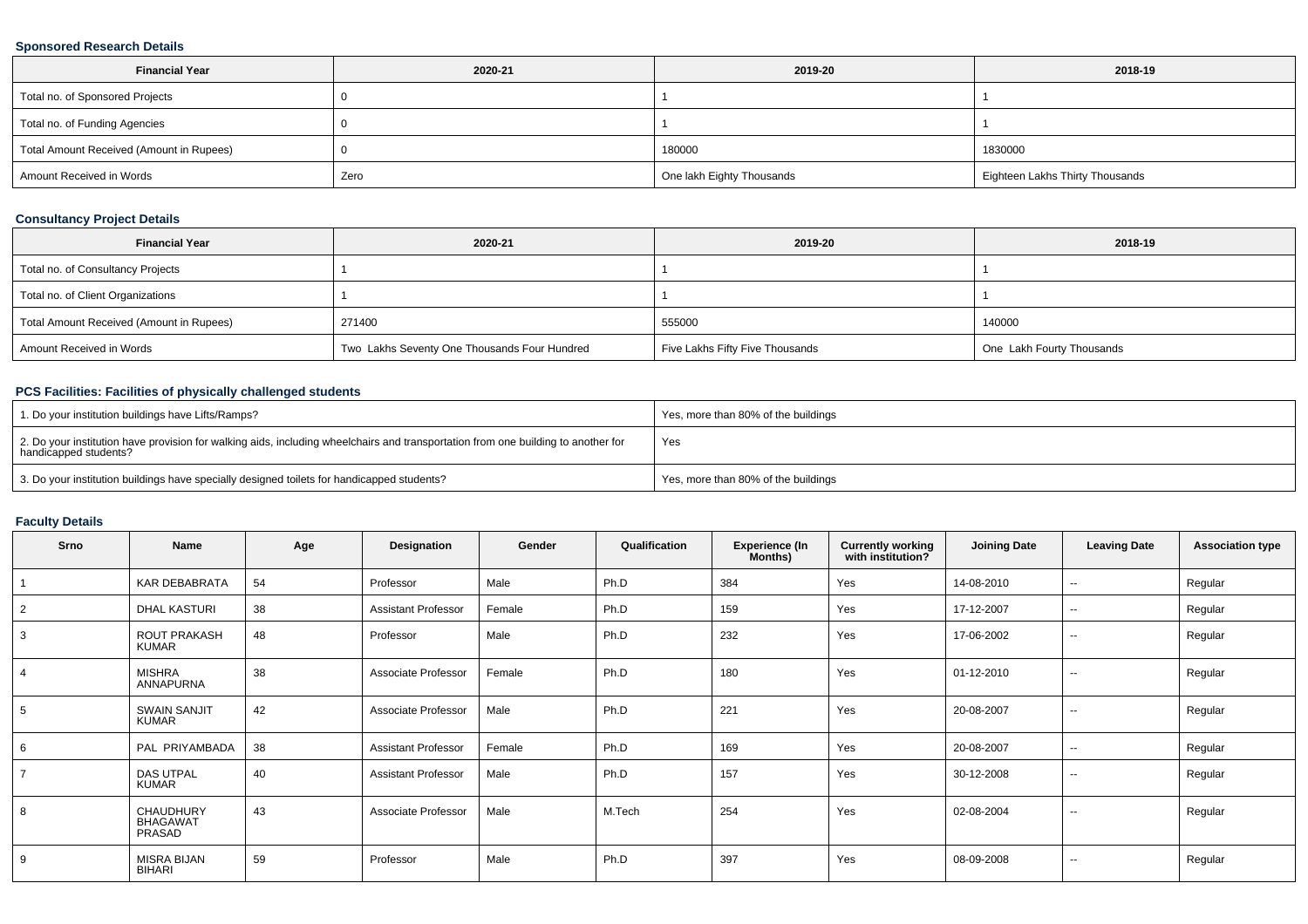### **Sponsored Research Details**

| <b>Financial Year</b>                    | 2020-21 | 2019-20                   | 2018-19                         |
|------------------------------------------|---------|---------------------------|---------------------------------|
| Total no. of Sponsored Projects          |         |                           |                                 |
| Total no. of Funding Agencies            |         |                           |                                 |
| Total Amount Received (Amount in Rupees) |         | 180000                    | 1830000                         |
| Amount Received in Words                 | Zero    | One lakh Eighty Thousands | Eighteen Lakhs Thirty Thousands |

### **Consultancy Project Details**

| <b>Financial Year</b>                    | 2020-21                                      | 2019-20                         | 2018-19                   |
|------------------------------------------|----------------------------------------------|---------------------------------|---------------------------|
| Total no. of Consultancy Projects        |                                              |                                 |                           |
| Total no. of Client Organizations        |                                              |                                 |                           |
| Total Amount Received (Amount in Rupees) | 271400                                       | 555000                          | 140000                    |
| Amount Received in Words                 | Two Lakhs Seventy One Thousands Four Hundred | Five Lakhs Fifty Five Thousands | One Lakh Fourty Thousands |

### **PCS Facilities: Facilities of physically challenged students**

| 1. Do your institution buildings have Lifts/Ramps?                                                                                                         | Yes, more than 80% of the buildings |
|------------------------------------------------------------------------------------------------------------------------------------------------------------|-------------------------------------|
| 2. Do your institution have provision for walking aids, including wheelchairs and transportation from one building to another for<br>handicapped students? | Yes                                 |
| 3. Do your institution buildings have specially designed toilets for handicapped students?                                                                 | Yes, more than 80% of the buildings |

### **Faculty Details**

| Srno           | <b>Name</b>                            | Age | Designation                | Gender | Qualification | <b>Experience (In</b><br>Months) | <b>Currently working</b><br>with institution? | <b>Joining Date</b> | <b>Leaving Date</b>      | <b>Association type</b> |
|----------------|----------------------------------------|-----|----------------------------|--------|---------------|----------------------------------|-----------------------------------------------|---------------------|--------------------------|-------------------------|
|                | <b>KAR DEBABRATA</b>                   | 54  | Professor                  | Male   | Ph.D          | 384                              | Yes                                           | 14-08-2010          | $\sim$                   | Regular                 |
| 2              | DHAL KASTURI                           | 38  | <b>Assistant Professor</b> | Female | Ph.D          | 159                              | Yes                                           | 17-12-2007          | $\sim$                   | Regular                 |
| 3              | ROUT PRAKASH<br><b>KUMAR</b>           | 48  | Professor                  | Male   | Ph.D          | 232                              | Yes                                           | 17-06-2002          | $\sim$                   | Regular                 |
| $\overline{4}$ | <b>MISHRA</b><br>ANNAPURNA             | 38  | Associate Professor        | Female | Ph.D          | 180                              | Yes                                           | 01-12-2010          | $\sim$                   | Regular                 |
| 5              | <b>SWAIN SANJIT</b><br><b>KUMAR</b>    | 42  | Associate Professor        | Male   | Ph.D          | 221                              | Yes                                           | 20-08-2007          | $\sim$                   | Regular                 |
| 6              | PAL PRIYAMBADA                         | 38  | <b>Assistant Professor</b> | Female | Ph.D          | 169                              | Yes                                           | 20-08-2007          | $\sim$                   | Regular                 |
| $\overline{7}$ | <b>DAS UTPAL</b><br><b>KUMAR</b>       | 40  | <b>Assistant Professor</b> | Male   | Ph.D          | 157                              | Yes                                           | 30-12-2008          | $\sim$                   | Regular                 |
| 8              | CHAUDHURY<br><b>BHAGAWAT</b><br>PRASAD | 43  | Associate Professor        | Male   | M.Tech        | 254                              | Yes                                           | 02-08-2004          | $\sim$                   | Regular                 |
| 9              | <b>MISRA BIJAN</b><br>BIHARI           | 59  | Professor                  | Male   | Ph.D          | 397                              | Yes                                           | 08-09-2008          | $\overline{\phantom{a}}$ | Regular                 |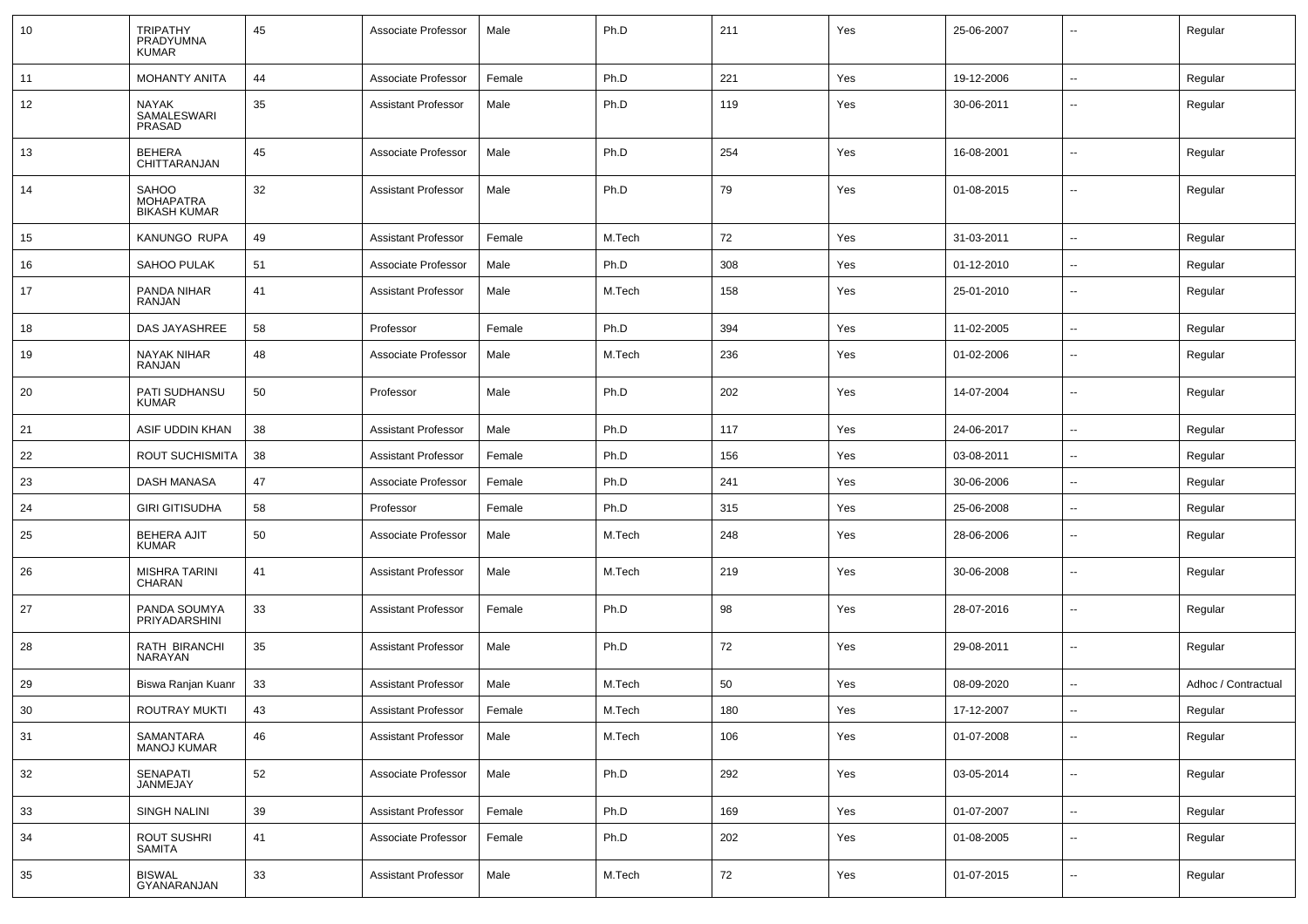| 10 | TRIPATHY<br>PRADYUMNA<br><b>KUMAR</b>                   | 45 | Associate Professor        | Male   | Ph.D   | 211 | Yes | 25-06-2007 | --                       | Regular             |
|----|---------------------------------------------------------|----|----------------------------|--------|--------|-----|-----|------------|--------------------------|---------------------|
| 11 | <b>MOHANTY ANITA</b>                                    | 44 | Associate Professor        | Female | Ph.D   | 221 | Yes | 19-12-2006 | $\sim$                   | Regular             |
| 12 | NAYAK<br><b>SAMALESWARI</b><br>PRASAD                   | 35 | <b>Assistant Professor</b> | Male   | Ph.D   | 119 | Yes | 30-06-2011 | $\sim$                   | Regular             |
| 13 | <b>BEHERA</b><br>CHITTARANJAN                           | 45 | Associate Professor        | Male   | Ph.D   | 254 | Yes | 16-08-2001 | Ξ.                       | Regular             |
| 14 | <b>SAHOO</b><br><b>MOHAPATRA</b><br><b>BIKASH KUMAR</b> | 32 | <b>Assistant Professor</b> | Male   | Ph.D   | 79  | Yes | 01-08-2015 | Ξ.                       | Regular             |
| 15 | <b>KANUNGO RUPA</b>                                     | 49 | <b>Assistant Professor</b> | Female | M.Tech | 72  | Yes | 31-03-2011 |                          | Regular             |
| 16 | SAHOO PULAK                                             | 51 | Associate Professor        | Male   | Ph.D   | 308 | Yes | 01-12-2010 | $\sim$                   | Regular             |
| 17 | PANDA NIHAR<br>RANJAN                                   | 41 | <b>Assistant Professor</b> | Male   | M.Tech | 158 | Yes | 25-01-2010 | $\sim$                   | Regular             |
| 18 | DAS JAYASHREE                                           | 58 | Professor                  | Female | Ph.D   | 394 | Yes | 11-02-2005 | $\sim$                   | Regular             |
| 19 | NAYAK NIHAR<br>RANJAN                                   | 48 | Associate Professor        | Male   | M.Tech | 236 | Yes | 01-02-2006 | --                       | Regular             |
| 20 | PATI SUDHANSU<br><b>KUMAR</b>                           | 50 | Professor                  | Male   | Ph.D   | 202 | Yes | 14-07-2004 | --                       | Regular             |
| 21 | ASIF UDDIN KHAN                                         | 38 | <b>Assistant Professor</b> | Male   | Ph.D   | 117 | Yes | 24-06-2017 | --                       | Regular             |
| 22 | ROUT SUCHISMITA                                         | 38 | <b>Assistant Professor</b> | Female | Ph.D   | 156 | Yes | 03-08-2011 | --                       | Regular             |
| 23 | DASH MANASA                                             | 47 | Associate Professor        | Female | Ph.D   | 241 | Yes | 30-06-2006 | $\overline{\phantom{a}}$ | Regular             |
| 24 | <b>GIRI GITISUDHA</b>                                   | 58 | Professor                  | Female | Ph.D   | 315 | Yes | 25-06-2008 | --                       | Regular             |
| 25 | <b>BEHERA AJIT</b><br><b>KUMAR</b>                      | 50 | Associate Professor        | Male   | M.Tech | 248 | Yes | 28-06-2006 | $\sim$                   | Regular             |
| 26 | <b>MISHRA TARINI</b><br><b>CHARAN</b>                   | 41 | <b>Assistant Professor</b> | Male   | M.Tech | 219 | Yes | 30-06-2008 | $\overline{\phantom{a}}$ | Regular             |
| 27 | PANDA SOUMYA<br>PRIYADARSHINI                           | 33 | <b>Assistant Professor</b> | Female | Ph.D   | 98  | Yes | 28-07-2016 | $\sim$                   | Regular             |
| 28 | RATH BIRANCHI<br><b>NARAYAN</b>                         | 35 | <b>Assistant Professor</b> | Male   | Ph.D   | 72  | Yes | 29-08-2011 | $\sim$                   | Regular             |
| 29 | Biswa Ranjan Kuanr                                      | 33 | <b>Assistant Professor</b> | Male   | M.Tech | 50  | Yes | 08-09-2020 | $\sim$                   | Adhoc / Contractual |
| 30 | <b>ROUTRAY MUKTI</b>                                    | 43 | Assistant Professor        | Female | M.Tech | 180 | Yes | 17-12-2007 |                          | Regular             |
| 31 | SAMANTARA<br><b>MANOJ KUMAR</b>                         | 46 | <b>Assistant Professor</b> | Male   | M.Tech | 106 | Yes | 01-07-2008 | Ξ.                       | Regular             |
| 32 | SENAPATI<br>JANMEJAY                                    | 52 | Associate Professor        | Male   | Ph.D   | 292 | Yes | 03-05-2014 | Ξ.                       | Regular             |
| 33 | <b>SINGH NALINI</b>                                     | 39 | <b>Assistant Professor</b> | Female | Ph.D   | 169 | Yes | 01-07-2007 | $\sim$                   | Regular             |
| 34 | <b>ROUT SUSHRI</b><br>SAMITA                            | 41 | Associate Professor        | Female | Ph.D   | 202 | Yes | 01-08-2005 | Ξ.                       | Regular             |
| 35 | <b>BISWAL</b><br>GYANARANJAN                            | 33 | <b>Assistant Professor</b> | Male   | M.Tech | 72  | Yes | 01-07-2015 | $\overline{\phantom{a}}$ | Regular             |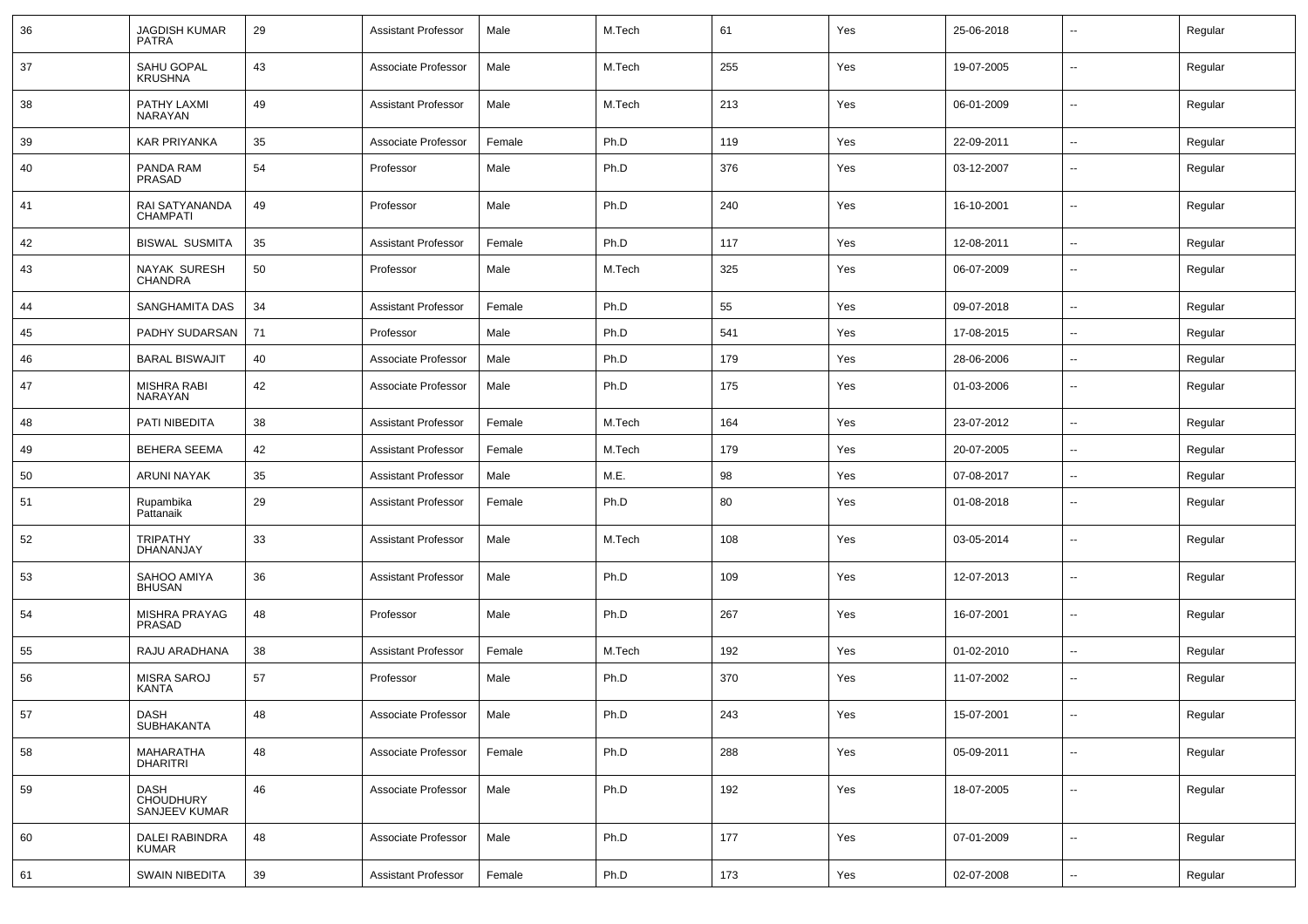| 36 | JAGDISH KUMAR<br><b>PATRA</b>      | 29 | <b>Assistant Professor</b> | Male   | M.Tech | 61  | Yes | 25-06-2018 | $\overline{\phantom{a}}$ | Regular |
|----|------------------------------------|----|----------------------------|--------|--------|-----|-----|------------|--------------------------|---------|
| 37 | SAHU GOPAL<br><b>KRUSHNA</b>       | 43 | Associate Professor        | Male   | M.Tech | 255 | Yes | 19-07-2005 | $\sim$                   | Regular |
| 38 | PATHY LAXMI<br>NARAYAN             | 49 | <b>Assistant Professor</b> | Male   | M.Tech | 213 | Yes | 06-01-2009 | $\sim$                   | Regular |
| 39 | <b>KAR PRIYANKA</b>                | 35 | Associate Professor        | Female | Ph.D   | 119 | Yes | 22-09-2011 | $\sim$                   | Regular |
| 40 | PANDA RAM<br>PRASAD                | 54 | Professor                  | Male   | Ph.D   | 376 | Yes | 03-12-2007 | $\sim$                   | Regular |
| 41 | RAI SATYANANDA<br><b>CHAMPATI</b>  | 49 | Professor                  | Male   | Ph.D   | 240 | Yes | 16-10-2001 | $\overline{\phantom{a}}$ | Regular |
| 42 | <b>BISWAL SUSMITA</b>              | 35 | <b>Assistant Professor</b> | Female | Ph.D   | 117 | Yes | 12-08-2011 | $\sim$                   | Regular |
| 43 | NAYAK SURESH<br><b>CHANDRA</b>     | 50 | Professor                  | Male   | M.Tech | 325 | Yes | 06-07-2009 | $\sim$                   | Regular |
| 44 | SANGHAMITA DAS                     | 34 | <b>Assistant Professor</b> | Female | Ph.D   | 55  | Yes | 09-07-2018 | $\overline{\phantom{a}}$ | Regular |
| 45 | PADHY SUDARSAN                     | 71 | Professor                  | Male   | Ph.D   | 541 | Yes | 17-08-2015 | $\overline{\phantom{a}}$ | Regular |
| 46 | <b>BARAL BISWAJIT</b>              | 40 | Associate Professor        | Male   | Ph.D   | 179 | Yes | 28-06-2006 | $\sim$                   | Regular |
| 47 | <b>MISHRA RABI</b><br>NARAYAN      | 42 | Associate Professor        | Male   | Ph.D   | 175 | Yes | 01-03-2006 | $\sim$                   | Regular |
| 48 | PATI NIBEDITA                      | 38 | <b>Assistant Professor</b> | Female | M.Tech | 164 | Yes | 23-07-2012 | $\sim$                   | Regular |
| 49 | <b>BEHERA SEEMA</b>                | 42 | <b>Assistant Professor</b> | Female | M.Tech | 179 | Yes | 20-07-2005 | $\sim$                   | Regular |
| 50 | ARUNI NAYAK                        | 35 | <b>Assistant Professor</b> | Male   | M.E.   | 98  | Yes | 07-08-2017 | $\sim$                   | Regular |
| 51 | Rupambika<br>Pattanaik             | 29 | <b>Assistant Professor</b> | Female | Ph.D   | 80  | Yes | 01-08-2018 | $\overline{\phantom{a}}$ | Regular |
| 52 | <b>TRIPATHY</b><br>DHANANJAY       | 33 | <b>Assistant Professor</b> | Male   | M.Tech | 108 | Yes | 03-05-2014 | $\overline{\phantom{a}}$ | Regular |
| 53 | SAHOO AMIYA<br><b>BHUSAN</b>       | 36 | <b>Assistant Professor</b> | Male   | Ph.D   | 109 | Yes | 12-07-2013 | $\overline{\phantom{a}}$ | Regular |
| 54 | MISHRA PRAYAG<br>PRASAD            | 48 | Professor                  | Male   | Ph.D   | 267 | Yes | 16-07-2001 | $\overline{\phantom{a}}$ | Regular |
| 55 | RAJU ARADHANA                      | 38 | <b>Assistant Professor</b> | Female | M.Tech | 192 | Yes | 01-02-2010 | $\sim$                   | Regular |
| 56 | <b>MISRA SAROJ</b><br>KANTA        | 57 | Professor                  | Male   | Ph.D   | 370 | Yes | 11-07-2002 | $\overline{\phantom{a}}$ | Regular |
| 57 | DASH<br>SUBHAKANTA                 | 48 | Associate Professor        | Male   | Ph.D   | 243 | Yes | 15-07-2001 | --                       | Regular |
| 58 | MAHARATHA<br><b>DHARITRI</b>       | 48 | Associate Professor        | Female | Ph.D   | 288 | Yes | 05-09-2011 | $\overline{\phantom{a}}$ | Regular |
| 59 | DASH<br>CHOUDHURY<br>SANJEEV KUMAR | 46 | Associate Professor        | Male   | Ph.D   | 192 | Yes | 18-07-2005 | $\sim$                   | Regular |
| 60 | DALEI RABINDRA<br>KUMAR            | 48 | Associate Professor        | Male   | Ph.D   | 177 | Yes | 07-01-2009 | $\sim$                   | Regular |
| 61 | <b>SWAIN NIBEDITA</b>              | 39 | <b>Assistant Professor</b> | Female | Ph.D   | 173 | Yes | 02-07-2008 | $\overline{\phantom{a}}$ | Regular |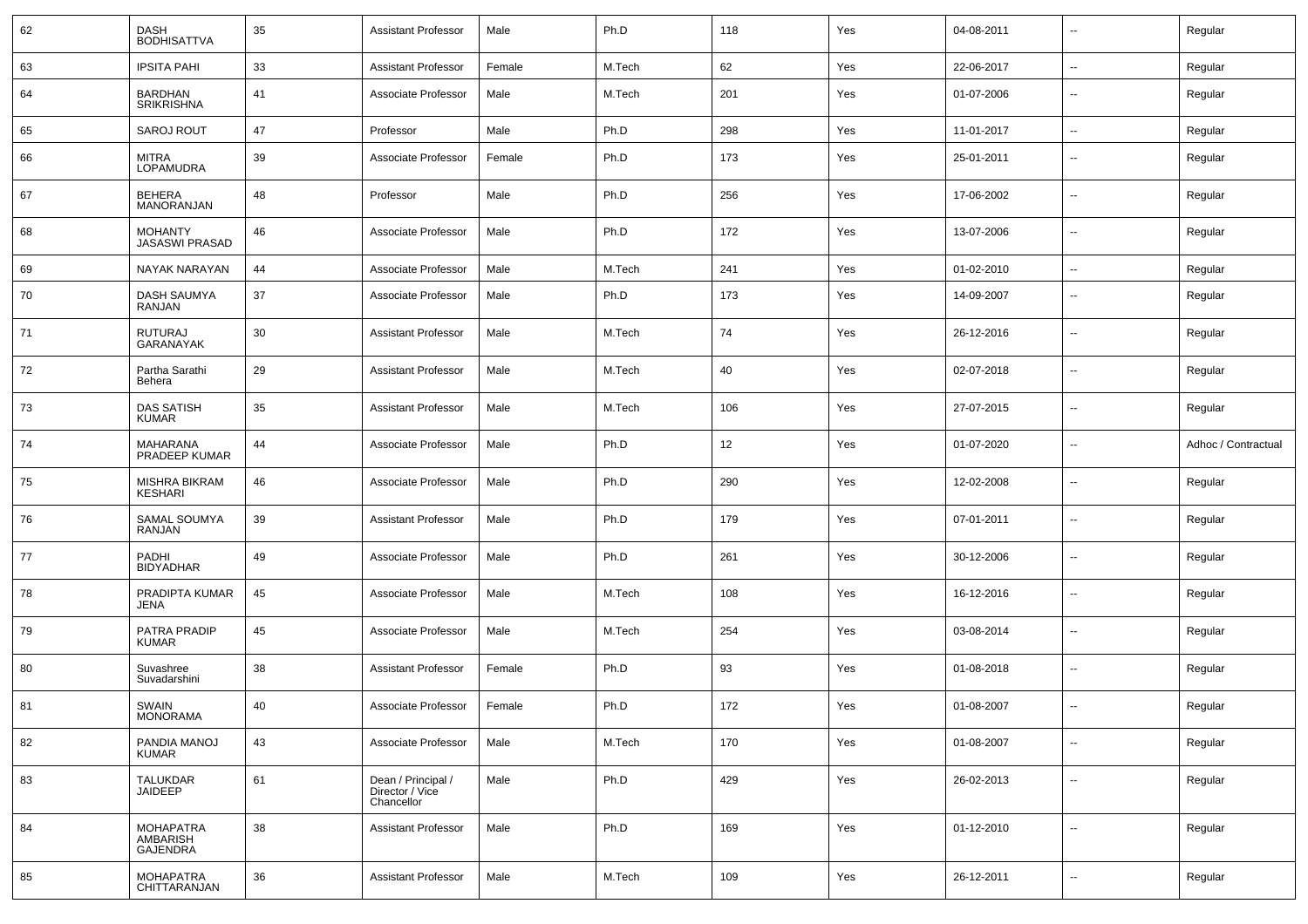| 62 | DASH<br><b>BODHISATTVA</b>                      | 35 | <b>Assistant Professor</b>                          | Male   | Ph.D   | 118 | Yes | 04-08-2011 |                          | Regular             |
|----|-------------------------------------------------|----|-----------------------------------------------------|--------|--------|-----|-----|------------|--------------------------|---------------------|
| 63 | <b>IPSITA PAHI</b>                              | 33 | <b>Assistant Professor</b>                          | Female | M.Tech | 62  | Yes | 22-06-2017 | н.                       | Regular             |
| 64 | <b>BARDHAN</b><br><b>SRIKRISHNA</b>             | 41 | Associate Professor                                 | Male   | M.Tech | 201 | Yes | 01-07-2006 | --                       | Regular             |
| 65 | <b>SAROJ ROUT</b>                               | 47 | Professor                                           | Male   | Ph.D   | 298 | Yes | 11-01-2017 | $\overline{\phantom{a}}$ | Regular             |
| 66 | <b>MITRA</b><br>LOPAMUDRA                       | 39 | Associate Professor                                 | Female | Ph.D   | 173 | Yes | 25-01-2011 | $\overline{\phantom{a}}$ | Regular             |
| 67 | <b>BEHERA</b><br>MANORANJAN                     | 48 | Professor                                           | Male   | Ph.D   | 256 | Yes | 17-06-2002 | н.                       | Regular             |
| 68 | <b>MOHANTY</b><br><b>JASASWI PRASAD</b>         | 46 | Associate Professor                                 | Male   | Ph.D   | 172 | Yes | 13-07-2006 | ⊷.                       | Regular             |
| 69 | NAYAK NARAYAN                                   | 44 | Associate Professor                                 | Male   | M.Tech | 241 | Yes | 01-02-2010 | $\sim$                   | Regular             |
| 70 | <b>DASH SAUMYA</b><br>RANJAN                    | 37 | Associate Professor                                 | Male   | Ph.D   | 173 | Yes | 14-09-2007 | --                       | Regular             |
| 71 | <b>RUTURAJ</b><br><b>GARANAYAK</b>              | 30 | Assistant Professor                                 | Male   | M.Tech | 74  | Yes | 26-12-2016 | --                       | Regular             |
| 72 | Partha Sarathi<br>Behera                        | 29 | <b>Assistant Professor</b>                          | Male   | M.Tech | 40  | Yes | 02-07-2018 | --                       | Regular             |
| 73 | <b>DAS SATISH</b><br><b>KUMAR</b>               | 35 | <b>Assistant Professor</b>                          | Male   | M.Tech | 106 | Yes | 27-07-2015 | --                       | Regular             |
| 74 | <b>MAHARANA</b><br>PRADEEP KUMAR                | 44 | Associate Professor                                 | Male   | Ph.D   | 12  | Yes | 01-07-2020 | --                       | Adhoc / Contractual |
| 75 | <b>MISHRA BIKRAM</b><br><b>KESHARI</b>          | 46 | Associate Professor                                 | Male   | Ph.D   | 290 | Yes | 12-02-2008 | --                       | Regular             |
| 76 | SAMAL SOUMYA<br>RANJAN                          | 39 | <b>Assistant Professor</b>                          | Male   | Ph.D   | 179 | Yes | 07-01-2011 | --                       | Regular             |
| 77 | <b>PADHI</b><br><b>BIDYADHAR</b>                | 49 | Associate Professor                                 | Male   | Ph.D   | 261 | Yes | 30-12-2006 | --                       | Regular             |
| 78 | PRADIPTA KUMAR<br>JENA                          | 45 | Associate Professor                                 | Male   | M.Tech | 108 | Yes | 16-12-2016 | --                       | Regular             |
| 79 | PATRA PRADIP<br><b>KUMAR</b>                    | 45 | Associate Professor                                 | Male   | M.Tech | 254 | Yes | 03-08-2014 | --                       | Regular             |
| 80 | Suvashree<br>Suvadarshini                       | 38 | <b>Assistant Professor</b>                          | Female | Ph.D   | 93  | Yes | 01-08-2018 | --                       | Regular             |
| 81 | SWAIN<br>MONORAMA                               | 40 | Associate Professor                                 | Female | Ph.D   | 172 | Yes | 01-08-2007 |                          | Regular             |
| 82 | PANDIA MANOJ<br><b>KUMAR</b>                    | 43 | Associate Professor                                 | Male   | M.Tech | 170 | Yes | 01-08-2007 | Ξ.                       | Regular             |
| 83 | <b>TALUKDAR</b><br>JAIDEEP                      | 61 | Dean / Principal /<br>Director / Vice<br>Chancellor | Male   | Ph.D   | 429 | Yes | 26-02-2013 | Щ,                       | Regular             |
| 84 | <b>MOHAPATRA</b><br>AMBARISH<br><b>GAJENDRA</b> | 38 | <b>Assistant Professor</b>                          | Male   | Ph.D   | 169 | Yes | 01-12-2010 | $\sim$                   | Regular             |
| 85 | <b>MOHAPATRA</b><br>CHITTARANJAN                | 36 | <b>Assistant Professor</b>                          | Male   | M.Tech | 109 | Yes | 26-12-2011 | Ξ.                       | Regular             |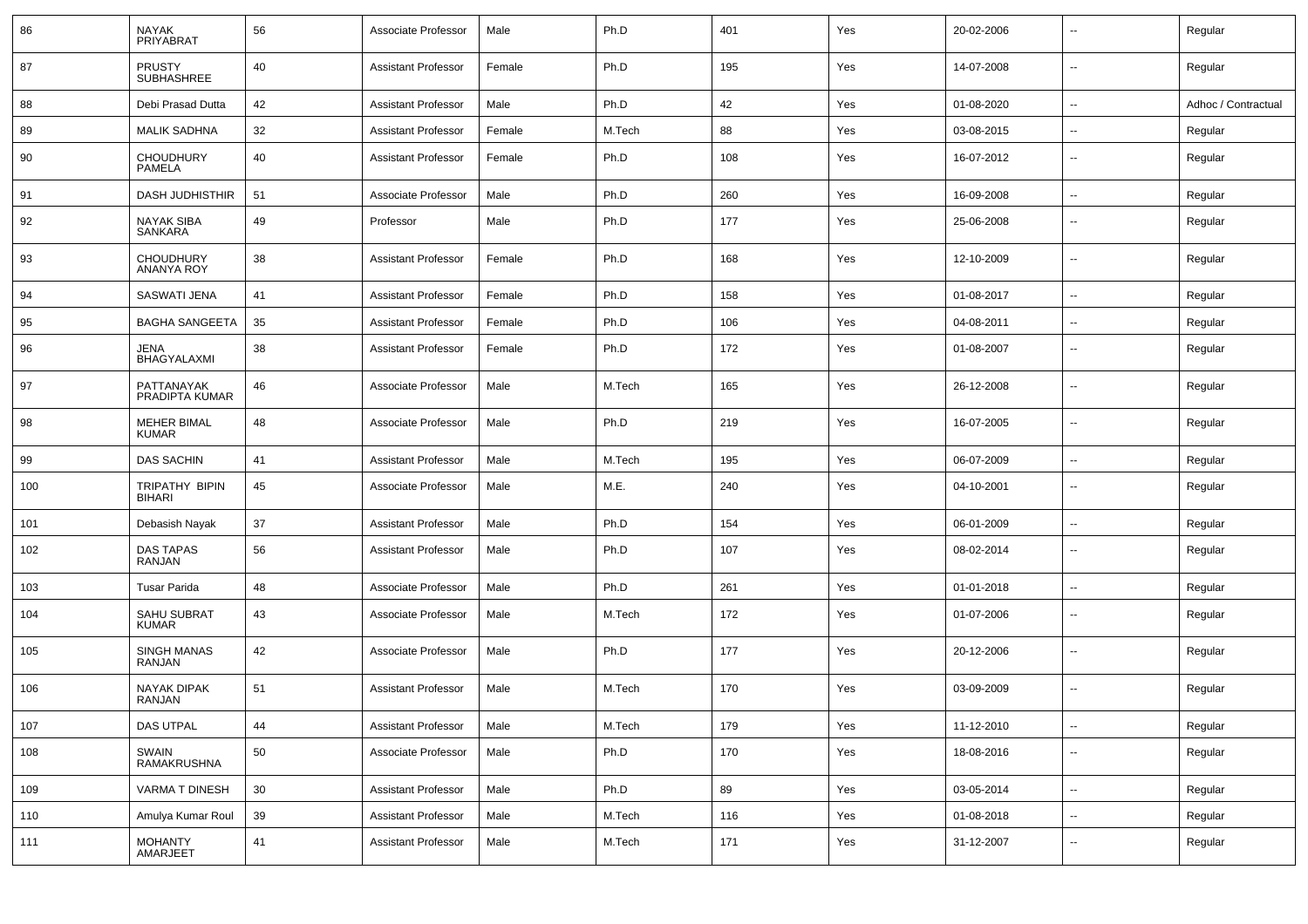| 86  | <b>NAYAK</b><br>PRIYABRAT          | 56 | Associate Professor        | Male   | Ph.D   | 401 | Yes | 20-02-2006 |                          | Regular             |
|-----|------------------------------------|----|----------------------------|--------|--------|-----|-----|------------|--------------------------|---------------------|
| 87  | <b>PRUSTY</b><br><b>SUBHASHREE</b> | 40 | <b>Assistant Professor</b> | Female | Ph.D   | 195 | Yes | 14-07-2008 | ⊶.                       | Regular             |
| 88  | Debi Prasad Dutta                  | 42 | <b>Assistant Professor</b> | Male   | Ph.D   | 42  | Yes | 01-08-2020 | --                       | Adhoc / Contractual |
| 89  | <b>MALIK SADHNA</b>                | 32 | <b>Assistant Professor</b> | Female | M.Tech | 88  | Yes | 03-08-2015 | $\overline{\phantom{a}}$ | Regular             |
| 90  | <b>CHOUDHURY</b><br>PAMELA         | 40 | <b>Assistant Professor</b> | Female | Ph.D   | 108 | Yes | 16-07-2012 | $\overline{\phantom{a}}$ | Regular             |
| 91  | DASH JUDHISTHIR                    | 51 | Associate Professor        | Male   | Ph.D   | 260 | Yes | 16-09-2008 | -−                       | Regular             |
| 92  | <b>NAYAK SIBA</b><br>SANKARA       | 49 | Professor                  | Male   | Ph.D   | 177 | Yes | 25-06-2008 | --                       | Regular             |
| 93  | CHOUDHURY<br>ANANYA ROY            | 38 | <b>Assistant Professor</b> | Female | Ph.D   | 168 | Yes | 12-10-2009 | --                       | Regular             |
| 94  | <b>SASWATI JENA</b>                | 41 | <b>Assistant Professor</b> | Female | Ph.D   | 158 | Yes | 01-08-2017 | --                       | Regular             |
| 95  | <b>BAGHA SANGEETA</b>              | 35 | <b>Assistant Professor</b> | Female | Ph.D   | 106 | Yes | 04-08-2011 | ⊷.                       | Regular             |
| 96  | JENA<br>BHAGYALAXMI                | 38 | <b>Assistant Professor</b> | Female | Ph.D   | 172 | Yes | 01-08-2007 | $\overline{\phantom{a}}$ | Regular             |
| 97  | PATTANAYAK<br>PRADIPTA KUMAR       | 46 | Associate Professor        | Male   | M.Tech | 165 | Yes | 26-12-2008 | −−                       | Regular             |
| 98  | <b>MEHER BIMAL</b><br><b>KUMAR</b> | 48 | Associate Professor        | Male   | Ph.D   | 219 | Yes | 16-07-2005 | $\overline{\phantom{a}}$ | Regular             |
| 99  | <b>DAS SACHIN</b>                  | 41 | <b>Assistant Professor</b> | Male   | M.Tech | 195 | Yes | 06-07-2009 | $\overline{\phantom{a}}$ | Regular             |
| 100 | TRIPATHY BIPIN<br>BIHARI           | 45 | Associate Professor        | Male   | M.E.   | 240 | Yes | 04-10-2001 | -−                       | Regular             |
| 101 | Debasish Nayak                     | 37 | <b>Assistant Professor</b> | Male   | Ph.D   | 154 | Yes | 06-01-2009 | --                       | Regular             |
| 102 | DAS TAPAS<br><b>RANJAN</b>         | 56 | <b>Assistant Professor</b> | Male   | Ph.D   | 107 | Yes | 08-02-2014 | $\overline{\phantom{a}}$ | Regular             |
| 103 | <b>Tusar Parida</b>                | 48 | Associate Professor        | Male   | Ph.D   | 261 | Yes | 01-01-2018 | ⊷.                       | Regular             |
| 104 | <b>SAHU SUBRAT</b><br><b>KUMAR</b> | 43 | Associate Professor        | Male   | M.Tech | 172 | Yes | 01-07-2006 | --                       | Regular             |
| 105 | SINGH MANAS<br>RANJAN              | 42 | Associate Professor        | Male   | Ph.D   | 177 | Yes | 20-12-2006 | --                       | Regular             |
| 106 | <b>NAYAK DIPAK</b><br>RANJAN       | 51 | <b>Assistant Professor</b> | Male   | M.Tech | 170 | Yes | 03-09-2009 | --                       | Regular             |
| 107 | DAS UTPAL                          | 44 | <b>Assistant Professor</b> | Male   | M.Tech | 179 | Yes | 11-12-2010 | Щ,                       | Regular             |
| 108 | SWAIN<br>RAMAKRUSHNA               | 50 | Associate Professor        | Male   | Ph.D   | 170 | Yes | 18-08-2016 | н.                       | Regular             |
| 109 | VARMA T DINESH                     | 30 | <b>Assistant Professor</b> | Male   | Ph.D   | 89  | Yes | 03-05-2014 | $\sim$                   | Regular             |
| 110 | Amulya Kumar Roul                  | 39 | <b>Assistant Professor</b> | Male   | M.Tech | 116 | Yes | 01-08-2018 | $\overline{\phantom{a}}$ | Regular             |
| 111 | MOHANTY<br>AMARJEET                | 41 | <b>Assistant Professor</b> | Male   | M.Tech | 171 | Yes | 31-12-2007 | ⊶.                       | Regular             |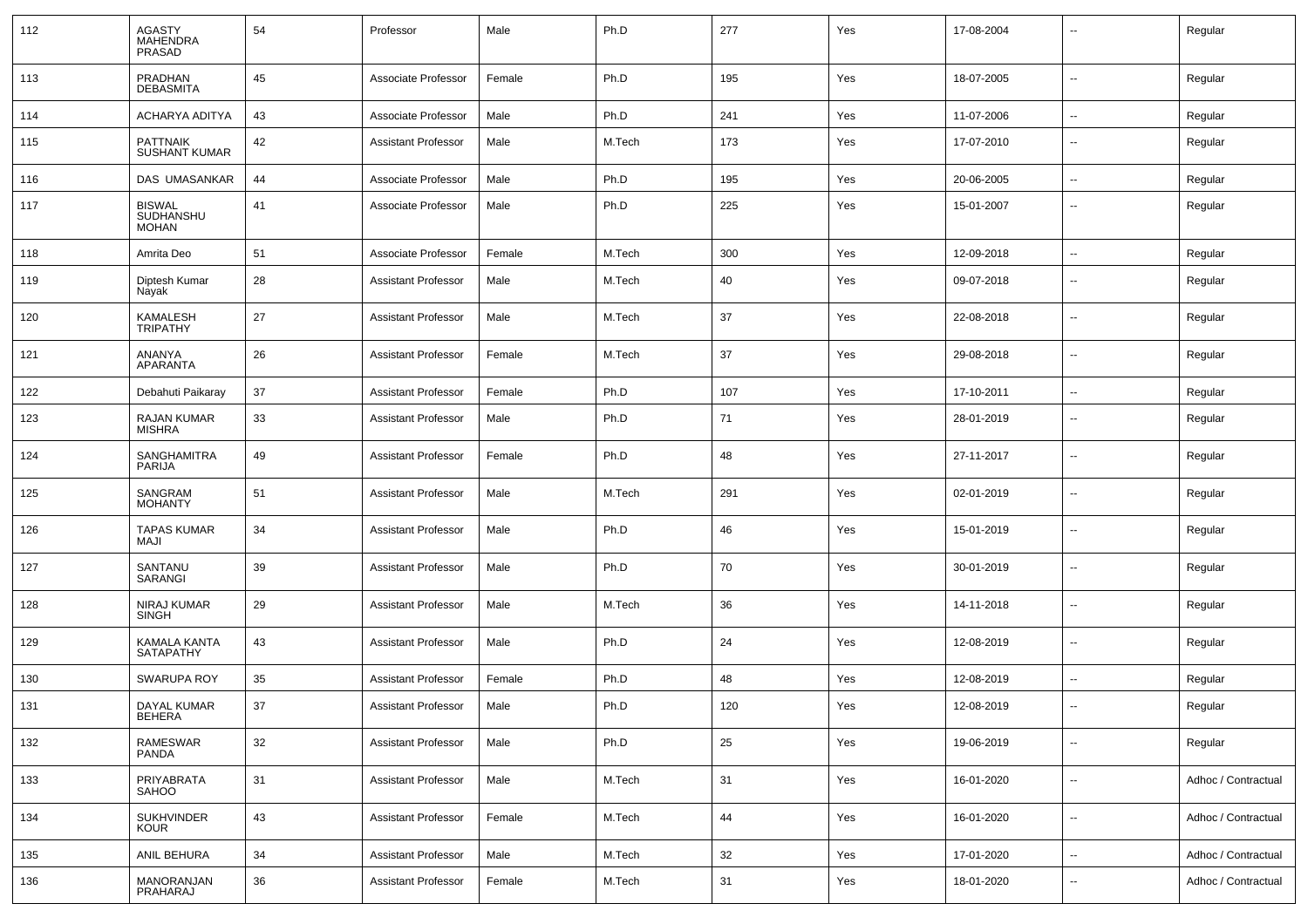| 112 | <b>AGASTY</b><br><b>MAHENDRA</b><br>PRASAD | 54 | Professor                  | Male   | Ph.D   | 277 | Yes | 17-08-2004 | $\overline{\phantom{a}}$ | Regular             |
|-----|--------------------------------------------|----|----------------------------|--------|--------|-----|-----|------------|--------------------------|---------------------|
| 113 | PRADHAN<br><b>DEBASMITA</b>                | 45 | Associate Professor        | Female | Ph.D   | 195 | Yes | 18-07-2005 | $\mathbf{u}$             | Regular             |
| 114 | ACHARYA ADITYA                             | 43 | Associate Professor        | Male   | Ph.D   | 241 | Yes | 11-07-2006 | $\sim$                   | Regular             |
| 115 | <b>PATTNAIK</b><br><b>SUSHANT KUMAR</b>    | 42 | Assistant Professor        | Male   | M.Tech | 173 | Yes | 17-07-2010 | $\sim$                   | Regular             |
| 116 | DAS UMASANKAR                              | 44 | Associate Professor        | Male   | Ph.D   | 195 | Yes | 20-06-2005 | $\sim$                   | Regular             |
| 117 | <b>BISWAL</b><br>SUDHANSHU<br><b>MOHAN</b> | 41 | Associate Professor        | Male   | Ph.D   | 225 | Yes | 15-01-2007 | --                       | Regular             |
| 118 | Amrita Deo                                 | 51 | Associate Professor        | Female | M.Tech | 300 | Yes | 12-09-2018 | $\sim$                   | Regular             |
| 119 | Diptesh Kumar<br>Nayak                     | 28 | Assistant Professor        | Male   | M.Tech | 40  | Yes | 09-07-2018 | --                       | Regular             |
| 120 | KAMALESH<br><b>TRIPATHY</b>                | 27 | <b>Assistant Professor</b> | Male   | M.Tech | 37  | Yes | 22-08-2018 | --                       | Regular             |
| 121 | ANANYA<br>APARANTA                         | 26 | Assistant Professor        | Female | M.Tech | 37  | Yes | 29-08-2018 | --                       | Regular             |
| 122 | Debahuti Paikaray                          | 37 | Assistant Professor        | Female | Ph.D   | 107 | Yes | 17-10-2011 | --                       | Regular             |
| 123 | <b>RAJAN KUMAR</b><br><b>MISHRA</b>        | 33 | <b>Assistant Professor</b> | Male   | Ph.D   | 71  | Yes | 28-01-2019 | $\overline{\phantom{a}}$ | Regular             |
| 124 | SANGHAMITRA<br>PARIJA                      | 49 | <b>Assistant Professor</b> | Female | Ph.D   | 48  | Yes | 27-11-2017 | $\overline{\phantom{a}}$ | Regular             |
| 125 | SANGRAM<br><b>MOHANTY</b>                  | 51 | <b>Assistant Professor</b> | Male   | M.Tech | 291 | Yes | 02-01-2019 | $\overline{\phantom{a}}$ | Regular             |
| 126 | <b>TAPAS KUMAR</b><br><b>MAJI</b>          | 34 | <b>Assistant Professor</b> | Male   | Ph.D   | 46  | Yes | 15-01-2019 | $\overline{\phantom{a}}$ | Regular             |
| 127 | SANTANU<br>SARANGI                         | 39 | <b>Assistant Professor</b> | Male   | Ph.D   | 70  | Yes | 30-01-2019 | $\overline{\phantom{a}}$ | Regular             |
| 128 | NIRAJ KUMAR<br><b>SINGH</b>                | 29 | <b>Assistant Professor</b> | Male   | M.Tech | 36  | Yes | 14-11-2018 | $\overline{\phantom{a}}$ | Regular             |
| 129 | KAMALA KANTA<br>SATAPATHY                  | 43 | <b>Assistant Professor</b> | Male   | Ph.D   | 24  | Yes | 12-08-2019 | $\sim$                   | Regular             |
| 130 | <b>SWARUPA ROY</b>                         | 35 | Assistant Professor        | Female | Ph.D   | 48  | Yes | 12-08-2019 |                          | Regular             |
| 131 | DAYAL KUMAR<br>BEHERA                      | 37 | <b>Assistant Professor</b> | Male   | Ph.D   | 120 | Yes | 12-08-2019 | $\overline{\phantom{a}}$ | Regular             |
| 132 | RAMESWAR<br><b>PANDA</b>                   | 32 | <b>Assistant Professor</b> | Male   | Ph.D   | 25  | Yes | 19-06-2019 | $\mathbf{u}$             | Regular             |
| 133 | PRIYABRATA<br>SAHOO                        | 31 | <b>Assistant Professor</b> | Male   | M.Tech | 31  | Yes | 16-01-2020 | $\sim$                   | Adhoc / Contractual |
| 134 | <b>SUKHVINDER</b><br><b>KOUR</b>           | 43 | <b>Assistant Professor</b> | Female | M.Tech | 44  | Yes | 16-01-2020 | $\mathbf{u}$             | Adhoc / Contractual |
| 135 | ANIL BEHURA                                | 34 | <b>Assistant Professor</b> | Male   | M.Tech | 32  | Yes | 17-01-2020 | $\sim$                   | Adhoc / Contractual |
| 136 | MANORANJAN<br>PRAHARAJ                     | 36 | <b>Assistant Professor</b> | Female | M.Tech | 31  | Yes | 18-01-2020 | $\overline{\phantom{a}}$ | Adhoc / Contractual |